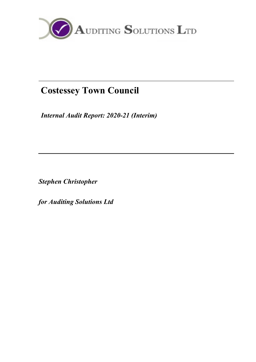

# Costessey Town Council

Internal Audit Report: 2020-21 (Interim)

Stephen Christopher

for Auditing Solutions Ltd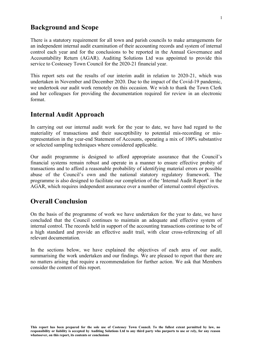## Background and Scope

There is a statutory requirement for all town and parish councils to make arrangements for an independent internal audit examination of their accounting records and system of internal control each year and for the conclusions to be reported in the Annual Governance and Accountability Return (AGAR). Auditing Solutions Ltd was appointed to provide this service to Costessey Town Council for the 2020-21 financial year.

This report sets out the results of our interim audit in relation to 2020-21, which was undertaken in November and December 2020. Due to the impact of the Covid-19 pandemic, we undertook our audit work remotely on this occasion. We wish to thank the Town Clerk and her colleagues for providing the documentation required for review in an electronic format.

## Internal Audit Approach

In carrying out our internal audit work for the year to date, we have had regard to the materiality of transactions and their susceptibility to potential mis-recording or misrepresentation in the year-end Statement of Accounts, operating a mix of 100% substantive or selected sampling techniques where considered applicable.

Our audit programme is designed to afford appropriate assurance that the Council's financial systems remain robust and operate in a manner to ensure effective probity of transactions and to afford a reasonable probability of identifying material errors or possible abuse of the Council's own and the national statutory regulatory framework. The programme is also designed to facilitate our completion of the 'Internal Audit Report' in the AGAR, which requires independent assurance over a number of internal control objectives.

## Overall Conclusion

On the basis of the programme of work we have undertaken for the year to date, we have concluded that the Council continues to maintain an adequate and effective system of internal control. The records held in support of the accounting transactions continue to be of a high standard and provide an effective audit trail, with clear cross-referencing of all relevant documentation.

In the sections below, we have explained the objectives of each area of our audit, summarising the work undertaken and our findings. We are pleased to report that there are no matters arising that require a recommendation for further action. We ask that Members consider the content of this report.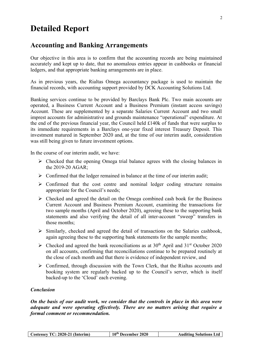## Detailed Report

## Accounting and Banking Arrangements

Our objective in this area is to confirm that the accounting records are being maintained accurately and kept up to date, that no anomalous entries appear in cashbooks or financial ledgers, and that appropriate banking arrangements are in place.

As in previous years, the Rialtas Omega accountancy package is used to maintain the financial records, with accounting support provided by DCK Accounting Solutions Ltd.

Banking services continue to be provided by Barclays Bank Plc. Two main accounts are operated, a Business Current Account and a Business Premium (instant access savings) Account. These are supplemented by a separate Salaries Current Account and two small imprest accounts for administrative and grounds maintenance "operational" expenditure. At the end of the previous financial year, the Council held £140k of funds that were surplus to its immediate requirements in a Barclays one-year fixed interest Treasury Deposit. This investment matured in September 2020 and, at the time of our interim audit, consideration was still being given to future investment options.

In the course of our interim audit, we have:

- $\triangleright$  Checked that the opening Omega trial balance agrees with the closing balances in the 2019-20 AGAR;
- $\triangleright$  Confirmed that the ledger remained in balance at the time of our interim audit;
- $\triangleright$  Confirmed that the cost centre and nominal ledger coding structure remains appropriate for the Council's needs;
- $\triangleright$  Checked and agreed the detail on the Omega combined cash book for the Business Current Account and Business Premium Account, examining the transactions for two sample months (April and October 2020), agreeing these to the supporting bank statements and also verifying the detail of all inter-account "sweep" transfers in those months;
- $\triangleright$  Similarly, checked and agreed the detail of transactions on the Salaries cashbook, again agreeing these to the supporting bank statements for the sample months;
- $\triangleright$  Checked and agreed the bank reconciliations as at 30<sup>th</sup> April and 31<sup>st</sup> October 2020 on all accounts, confirming that reconciliations continue to be prepared routinely at the close of each month and that there is evidence of independent review, and
- $\triangleright$  Confirmed, through discussion with the Town Clerk, that the Rialtas accounts and booking system are regularly backed up to the Council's server, which is itself backed-up to the 'Cloud' each evening.

#### Conclusion

On the basis of our audit work, we consider that the controls in place in this area were adequate and were operating effectively. There are no matters arising that require a formal comment or recommendation.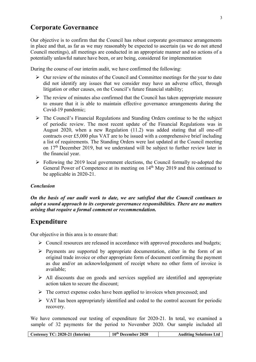## Corporate Governance

Our objective is to confirm that the Council has robust corporate governance arrangements in place and that, as far as we may reasonably be expected to ascertain (as we do not attend Council meetings), all meetings are conducted in an appropriate manner and no actions of a potentially unlawful nature have been, or are being, considered for implementation

During the course of our interim audit, we have confirmed the following:

- $\triangleright$  Our review of the minutes of the Council and Committee meetings for the year to date did not identify any issues that we consider may have an adverse effect, through litigation or other causes, on the Council's future financial stability;
- $\triangleright$  The review of minutes also confirmed that the Council has taken appropriate measure to ensure that it is able to maintain effective governance arrangements during the Covid-19 pandemic;
- $\triangleright$  The Council's Financial Regulations and Standing Orders continue to be the subject of periodic review. The most recent update of the Financial Regulations was in August 2020, when a new Regulation (11.2) was added stating that all one-off contracts over £5,000 plus VAT are to be issued with a comprehensive brief including a list of requirements. The Standing Orders were last updated at the Council meeting on 17th December 2019, but we understand will be subject to further review later in the financial year.
- $\triangleright$  Following the 2019 local government elections, the Council formally re-adopted the General Power of Competence at its meeting on 14<sup>th</sup> May 2019 and this continued to be applicable in 2020-21.

#### Conclusion

On the basis of our audit work to date, we are satisfied that the Council continues to adopt a sound approach to its corporate governance responsibilities. There are no matters arising that require a formal comment or recommendation.

## Expenditure

Our objective in this area is to ensure that:

- Council resources are released in accordance with approved procedures and budgets;
- $\triangleright$  Payments are supported by appropriate documentation, either in the form of an original trade invoice or other appropriate form of document confirming the payment as due and/or an acknowledgement of receipt where no other form of invoice is available;
- $\triangleright$  All discounts due on goods and services supplied are identified and appropriate action taken to secure the discount;
- $\triangleright$  The correct expense codes have been applied to invoices when processed; and
- $\triangleright$  VAT has been appropriately identified and coded to the control account for periodic recovery.

We have commenced our testing of expenditure for 2020-21. In total, we examined a sample of 32 payments for the period to November 2020. Our sample included all

| Costessey TC: 2020-21 (Interim) |
|---------------------------------|
|---------------------------------|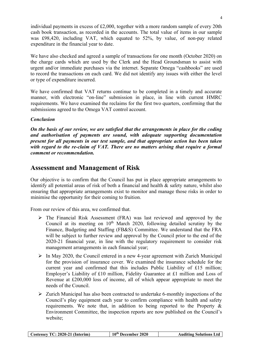individual payments in excess of £2,000, together with a more random sample of every 20th cash book transaction, as recorded in the accounts. The total value of items in our sample was £98,420, including VAT, which equated to 52%, by value, of non-pay related expenditure in the financial year to date.

We have also checked and agreed a sample of transactions for one month (October 2020) on the charge cards which are used by the Clerk and the Head Groundsman to assist with urgent and/or immediate purchases via the internet. Separate Omega "cashbooks" are used to record the transactions on each card. We did not identify any issues with either the level or type of expenditure incurred.

We have confirmed that VAT returns continue to be completed in a timely and accurate manner, with electronic "on-line" submission in place, in line with current HMRC requirements. We have examined the reclaims for the first two quarters, confirming that the submissions agreed to the Omega VAT control account.

#### Conclusion

On the basis of our review, we are satisfied that the arrangements in place for the coding and authorisation of payments are sound, with adequate supporting documentation present for all payments in our test sample, and that appropriate action has been taken with regard to the re-claim of VAT. There are no matters arising that require a formal comment or recommendation.

## Assessment and Management of Risk

Our objective is to confirm that the Council has put in place appropriate arrangements to identify all potential areas of risk of both a financial and health & safety nature, whilst also ensuring that appropriate arrangements exist to monitor and manage those risks in order to minimise the opportunity for their coming to fruition.

From our review of this area, we confirmed that.

- The Financial Risk Assessment (FRA) was last reviewed and approved by the Council at its meeting on  $10<sup>th</sup>$  March 2020, following detailed scrutiny by the Finance, Budgeting and Staffing (FB&S) Committee. We understand that the FRA will be subject to further review and approval by the Council prior to the end of the 2020-21 financial year, in line with the regulatory requirement to consider risk management arrangements in each financial year;
- $\triangleright$  In May 2020, the Council entered in a new 4-year agreement with Zurich Municipal for the provision of insurance cover. We examined the insurance schedule for the current year and confirmed that this includes Public Liability of £15 million; Employer's Liability of £10 million, Fidelity Guarantee at £1 million and Loss of Revenue at £200,000 loss of income, all of which appear appropriate to meet the needs of the Council.
- $\triangleright$  Zurich Municipal has also been contracted to undertake 6-monthly inspections of the Council's play equipment each year to confirm compliance with health and safety requirements. We note that, in addition to being reported to the Property & Environment Committee, the inspection reports are now published on the Council's website;

| Costessey TC: 2020-21 (Interim) | 10 <sup>th</sup> December 2020 | <b>Auditing Solutions Ltd</b> |
|---------------------------------|--------------------------------|-------------------------------|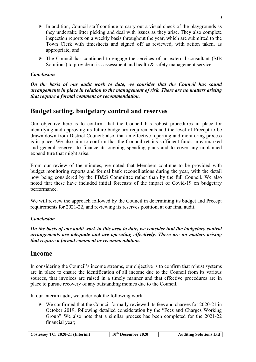- $\triangleright$  In addition, Council staff continue to carry out a visual check of the playgrounds as they undertake litter picking and deal with issues as they arise. They also complete inspection reports on a weekly basis throughout the year, which are submitted to the Town Clerk with timesheets and signed off as reviewed, with action taken, as appropriate, and
- $\triangleright$  The Council has continued to engage the services of an external consultant (SJB Solutions) to provide a risk assessment and health & safety management service.

#### Conclusion

On the basis of our audit work to date, we consider that the Council has sound arrangements in place in relation to the management of risk. There are no matters arising that require a formal comment or recommendation.

## Budget setting, budgetary control and reserves

Our objective here is to confirm that the Council has robust procedures in place for identifying and approving its future budgetary requirements and the level of Precept to be drawn down from District Council: also, that an effective reporting and monitoring process is in place. We also aim to confirm that the Council retains sufficient funds in earmarked and general reserves to finance its ongoing spending plans and to cover any unplanned expenditure that might arise.

From our review of the minutes, we noted that Members continue to be provided with budget monitoring reports and formal bank reconciliations during the year, with the detail now being considered by the FB&S Committee rather than by the full Council. We also noted that these have included initial forecasts of the impact of Covid-19 on budgetary performance.

We will review the approach followed by the Council in determining its budget and Precept requirements for 2021-22, and reviewing its reserves position, at our final audit.

#### Conclusion

On the basis of our audit work in this area to date, we consider that the budgetary control arrangements are adequate and are operating effectively. There are no matters arising that require a formal comment or recommendation.

## Income

In considering the Council's income streams, our objective is to confirm that robust systems are in place to ensure the identification of all income due to the Council from its various sources, that invoices are raised in a timely manner and that effective procedures are in place to pursue recovery of any outstanding monies due to the Council.

In our interim audit, we undertook the following work:

 $\triangleright$  We confirmed that the Council formally reviewed its fees and charges for 2020-21 in October 2019, following detailed consideration by the "Fees and Charges Working Group" We also note that a similar process has been completed for the 2021-22 financial year;

|--|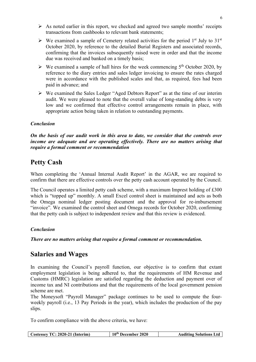- $\triangleright$  As noted earlier in this report, we checked and agreed two sample months' receipts transactions from cashbooks to relevant bank statements;
- $\triangleright$  We examined a sample of Cemetery related activities for the period 1<sup>st</sup> July to 31<sup>st</sup> October 2020, by reference to the detailed Burial Registers and associated records, confirming that the invoices subsequently raised were in order and that the income due was received and banked on a timely basis;
- $\triangleright$  We examined a sample of hall hires for the week commencing 5<sup>th</sup> October 2020, by reference to the diary entries and sales ledger invoicing to ensure the rates charged were in accordance with the published scales and that, as required, fees had been paid in advance; and
- We examined the Sales Ledger "Aged Debtors Report" as at the time of our interim audit. We were pleased to note that the overall value of long-standing debts is very low and we confirmed that effective control arrangements remain in place, with appropriate action being taken in relation to outstanding payments.

#### Conclusion

On the basis of our audit work in this area to date, we consider that the controls over income are adequate and are operating effectively. There are no matters arising that require a formal comment or recommendation

## Petty Cash

When completing the 'Annual Internal Audit Report' in the AGAR, we are required to confirm that there are effective controls over the petty cash account operated by the Council.

The Council operates a limited petty cash scheme, with a maximum Imprest holding of £300 which is "topped up" monthly. A small Excel control sheet is maintained and acts as both the Omega nominal ledger posting document and the approval for re-imbursement "invoice". We examined the control sheet and Omega records for October 2020, confirming that the petty cash is subject to independent review and that this review is evidenced.

#### Conclusion

There are no matters arising that require a formal comment or recommendation.

## Salaries and Wages

In examining the Council's payroll function, our objective is to confirm that extant employment legislation is being adhered to, that the requirements of HM Revenue and Customs (HMRC) legislation are satisfied regarding the deduction and payment over of income tax and NI contributions and that the requirements of the local government pension scheme are met.

The Moneysoft "Payroll Manager" package continues to be used to compute the fourweekly payroll (i.e., 13 Pay Periods in the year), which includes the production of the pay slips.

To confirm compliance with the above criteria, we have:

|  | Costessey TC: 2020-21 (Interim) | 10 <sup>th</sup> December 2020 | <b>Auditing Solutions Ltd</b> |
|--|---------------------------------|--------------------------------|-------------------------------|
|--|---------------------------------|--------------------------------|-------------------------------|